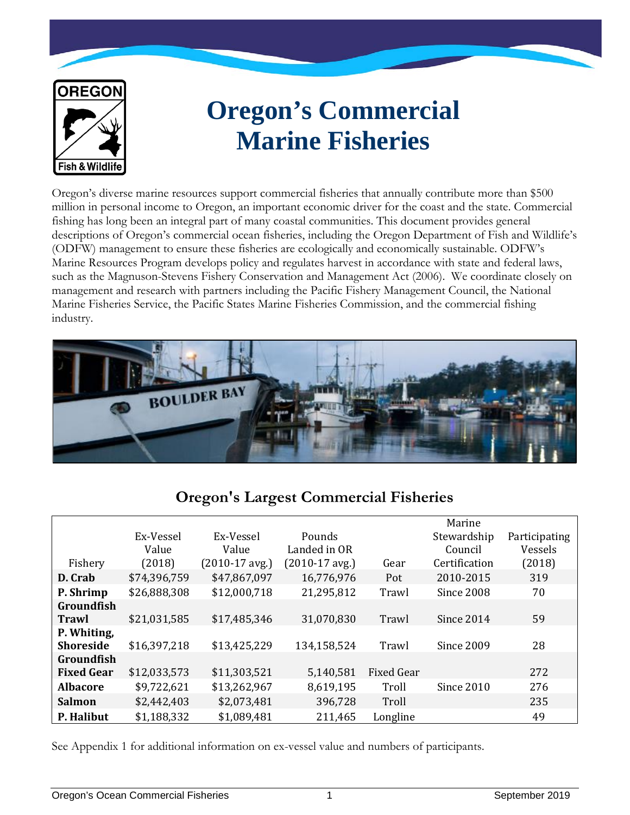

# **Oregon's Commercial Marine Fisheries**

Oregon's diverse marine resources support commercial fisheries that annually contribute more than \$500 million in personal income to Oregon, an important economic driver for the coast and the state. Commercial fishing has long been an integral part of many coastal communities. This document provides general descriptions of Oregon's commercial ocean fisheries, including the Oregon Department of Fish and Wildlife's (ODFW) management to ensure these fisheries are ecologically and economically sustainable. ODFW's Marine Resources Program develops policy and regulates harvest in accordance with state and federal laws, such as the Magnuson-Stevens Fishery Conservation and Management Act (2006). We coordinate closely on management and research with partners including the Pacific Fishery Management Council, the National Marine Fisheries Service, the Pacific States Marine Fisheries Commission, and the commercial fishing industry.



# **Oregon's Largest Commercial Fisheries**

|                   | Ex-Vessel<br>Value | Ex-Vessel<br>Value | Pounds<br>Landed in OR |                   | Marine<br>Stewardship<br>Council | Participating<br>Vessels |
|-------------------|--------------------|--------------------|------------------------|-------------------|----------------------------------|--------------------------|
| Fishery           | (2018)             | $(2010-17$ avg.)   | $(2010-17$ avg.)       | Gear              | Certification                    | (2018)                   |
| D. Crab           | \$74,396,759       | \$47,867,097       | 16,776,976             | Pot               | 2010-2015                        | 319                      |
| P. Shrimp         | \$26,888,308       | \$12,000,718       | 21,295,812             | Trawl             | Since 2008                       | 70                       |
| Groundfish        |                    |                    |                        |                   |                                  |                          |
| Trawl             | \$21,031,585       | \$17,485,346       | 31,070,830             | Trawl             | Since 2014                       | 59                       |
| P. Whiting,       |                    |                    |                        |                   |                                  |                          |
| <b>Shoreside</b>  | \$16,397,218       | \$13,425,229       | 134,158,524            | Trawl             | Since 2009                       | 28                       |
| <b>Groundfish</b> |                    |                    |                        |                   |                                  |                          |
| <b>Fixed Gear</b> | \$12,033,573       | \$11,303,521       | 5,140,581              | <b>Fixed Gear</b> |                                  | 272                      |
| <b>Albacore</b>   | \$9,722,621        | \$13,262,967       | 8,619,195              | Troll             | Since 2010                       | 276                      |
| <b>Salmon</b>     | \$2,442,403        | \$2,073,481        | 396,728                | Troll             |                                  | 235                      |
| P. Halibut        | \$1,188,332        | \$1,089,481        | 211,465                | Longline          |                                  | 49                       |

See Appendix 1 for additional information on ex-vessel value and numbers of participants.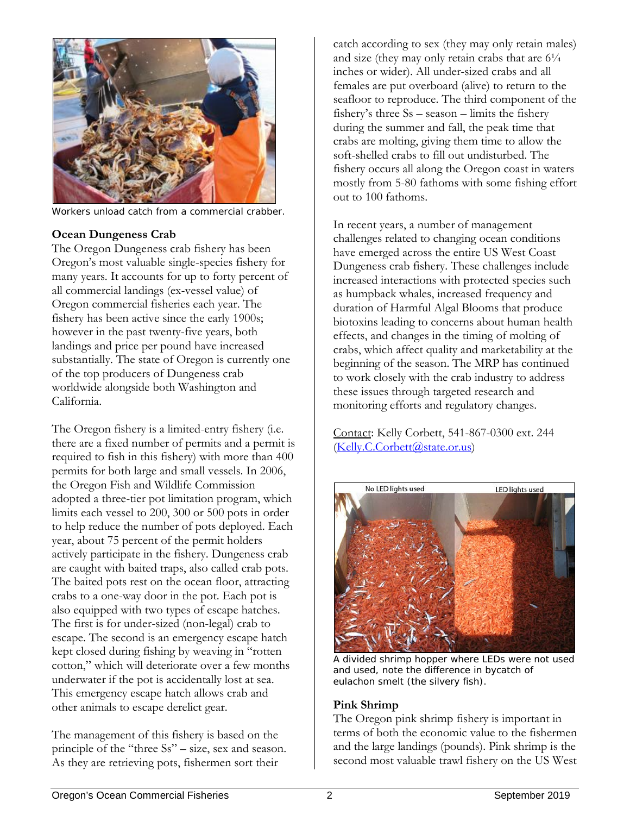

Workers unload catch from a commercial crabber.

### **Ocean Dungeness Crab**

The Oregon Dungeness crab fishery has been Oregon's most valuable single-species fishery for many years. It accounts for up to forty percent of all commercial landings (ex-vessel value) of Oregon commercial fisheries each year. The fishery has been active since the early 1900s; however in the past twenty-five years, both landings and price per pound have increased substantially. The state of Oregon is currently one of the top producers of Dungeness crab worldwide alongside both Washington and California.

The Oregon fishery is a limited-entry fishery (i.e. there are a fixed number of permits and a permit is required to fish in this fishery) with more than 400 permits for both large and small vessels. In 2006, the Oregon Fish and Wildlife Commission adopted a three-tier pot limitation program, which limits each vessel to 200, 300 or 500 pots in order to help reduce the number of pots deployed. Each year, about 75 percent of the permit holders actively participate in the fishery. Dungeness crab are caught with baited traps, also called crab pots. The baited pots rest on the ocean floor, attracting crabs to a one-way door in the pot. Each pot is also equipped with two types of escape hatches. The first is for under-sized (non-legal) crab to escape. The second is an emergency escape hatch kept closed during fishing by weaving in "rotten cotton," which will deteriorate over a few months underwater if the pot is accidentally lost at sea. This emergency escape hatch allows crab and other animals to escape derelict gear.

The management of this fishery is based on the principle of the "three Ss" – size, sex and season. As they are retrieving pots, fishermen sort their

catch according to sex (they may only retain males) and size (they may only retain crabs that are  $6\frac{1}{4}$ ) inches or wider). All under-sized crabs and all females are put overboard (alive) to return to the seafloor to reproduce. The third component of the fishery's three Ss – season – limits the fishery during the summer and fall, the peak time that crabs are molting, giving them time to allow the soft-shelled crabs to fill out undisturbed. The fishery occurs all along the Oregon coast in waters mostly from 5-80 fathoms with some fishing effort out to 100 fathoms.

In recent years, a number of management challenges related to changing ocean conditions have emerged across the entire US West Coast Dungeness crab fishery. These challenges include increased interactions with protected species such as humpback whales, increased frequency and duration of Harmful Algal Blooms that produce biotoxins leading to concerns about human health effects, and changes in the timing of molting of crabs, which affect quality and marketability at the beginning of the season. The MRP has continued to work closely with the crab industry to address these issues through targeted research and monitoring efforts and regulatory changes.

Contact: Kelly Corbett, 541-867-0300 ext. 244 [\(Kelly.C.Corbett@state.or.us\)](mailto:Kelly.C.Corbett@state.or.us)



A divided shrimp hopper where LEDs were not used and used, note the difference in bycatch of eulachon smelt (the silvery fish).

### **Pink Shrimp**

The Oregon pink shrimp fishery is important in terms of both the economic value to the fishermen and the large landings (pounds). Pink shrimp is the second most valuable trawl fishery on the US West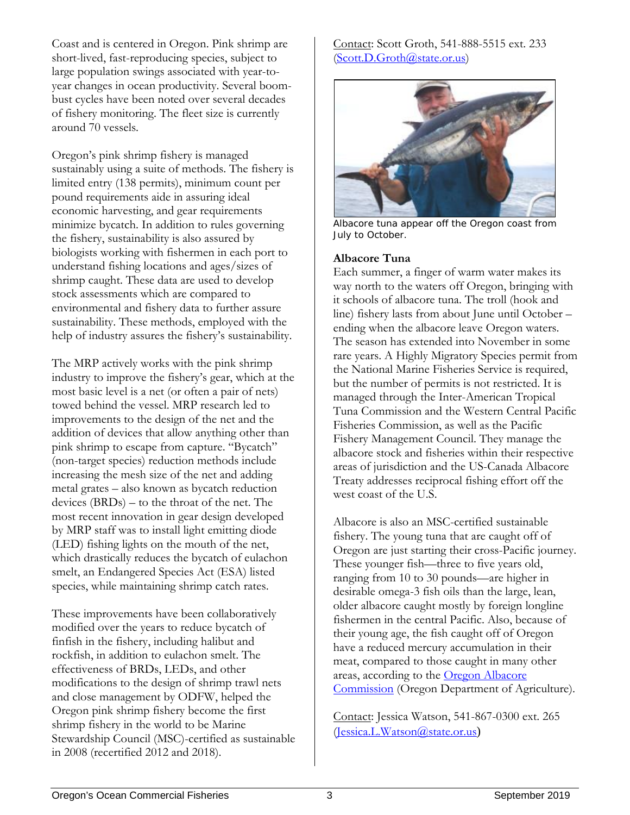Coast and is centered in Oregon. Pink shrimp are short-lived, fast-reproducing species, subject to large population swings associated with year-toyear changes in ocean productivity. Several boombust cycles have been noted over several decades of fishery monitoring. The fleet size is currently around 70 vessels.

Oregon's pink shrimp fishery is managed sustainably using a suite of methods. The fishery is limited entry (138 permits), minimum count per pound requirements aide in assuring ideal economic harvesting, and gear requirements minimize bycatch. In addition to rules governing the fishery, sustainability is also assured by biologists working with fishermen in each port to understand fishing locations and ages/sizes of shrimp caught. These data are used to develop stock assessments which are compared to environmental and fishery data to further assure sustainability. These methods, employed with the help of industry assures the fishery's sustainability.

The MRP actively works with the pink shrimp industry to improve the fishery's gear, which at the most basic level is a net (or often a pair of nets) towed behind the vessel. MRP research led to improvements to the design of the net and the addition of devices that allow anything other than pink shrimp to escape from capture. "Bycatch" (non-target species) reduction methods include increasing the mesh size of the net and adding metal grates – also known as bycatch reduction devices (BRDs) – to the throat of the net. The most recent innovation in gear design developed by MRP staff was to install light emitting diode (LED) fishing lights on the mouth of the net, which drastically reduces the bycatch of eulachon smelt, an Endangered Species Act (ESA) listed species, while maintaining shrimp catch rates.

These improvements have been collaboratively modified over the years to reduce bycatch of finfish in the fishery, including halibut and rockfish, in addition to eulachon smelt. The effectiveness of BRDs, LEDs, and other modifications to the design of shrimp trawl nets and close management by ODFW, helped the Oregon pink shrimp fishery become the first shrimp fishery in the world to be Marine Stewardship Council (MSC)-certified as sustainable in 2008 (recertified 2012 and 2018).

Contact: Scott Groth, 541-888-5515 ext. 233 [\(Scott.D.Groth@state.or.us\)](mailto:Bob.W.Hannah@state.or.us)



Albacore tuna appear off the Oregon coast from July to October.

#### **Albacore Tuna**

Each summer, a finger of warm water makes its way north to the waters off Oregon, bringing with it schools of albacore tuna. The troll (hook and line) fishery lasts from about June until October – ending when the albacore leave Oregon waters. The season has extended into November in some rare years. A Highly Migratory Species permit from the National Marine Fisheries Service is required, but the number of permits is not restricted. It is managed through the Inter-American Tropical Tuna Commission and the Western Central Pacific Fisheries Commission, as well as the Pacific Fishery Management Council. They manage the albacore stock and fisheries within their respective areas of jurisdiction and the US-Canada Albacore Treaty addresses reciprocal fishing effort off the west coast of the U.S.

Albacore is also an MSC-certified sustainable fishery. The young tuna that are caught off of Oregon are just starting their cross-Pacific journey. These younger fish—three to five years old, ranging from 10 to 30 pounds—are higher in desirable omega-3 fish oils than the large, lean, older albacore caught mostly by foreign longline fishermen in the central Pacific. Also, because of their young age, the fish caught off of Oregon have a reduced mercury accumulation in their meat, compared to those caught in many other areas, according to the [Oregon Albacore](http://www.oregonalbacore.org/)  [Commission](http://www.oregonalbacore.org/) (Oregon Department of Agriculture).

Contact: Jessica Watson, 541-867-0300 ext. 265 [\(Jessica.L.Watson@state.or.us](mailto:Jessica.L.Watson@state.or.us))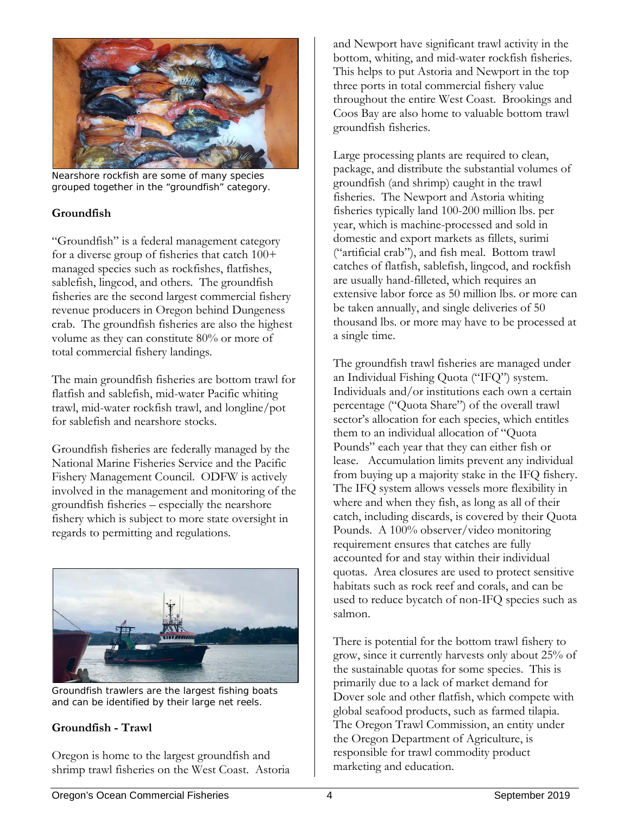

Nearshore rockfish are some of many species grouped together in the "groundfish" category.

# **Groundfish**

"Groundfish" is a federal management category for a diverse group of fisheries that catch 100+ managed species such as rockfishes, flatfishes, sablefish, lingcod, and others. The groundfish fisheries are the second largest commercial fishery revenue producers in Oregon behind Dungeness crab. The groundfish fisheries are also the highest volume as they can constitute 80% or more of total commercial fishery landings.

The main groundfish fisheries are bottom trawl for flatfish and sablefish, mid-water Pacific whiting trawl, mid-water rockfish trawl, and longline/pot for sablefish and nearshore stocks.

Groundfish fisheries are federally managed by the National Marine Fisheries Service and the Pacific Fishery Management Council. ODFW is actively involved in the management and monitoring of the groundfish fisheries – especially the nearshore fishery which is subject to more state oversight in regards to permitting and regulations.



Groundfish trawlers are the largest fishing boats and can be identified by their large net reels.

# **Groundfish - Trawl**

Oregon is home to the largest groundfish and shrimp trawl fisheries on the West Coast. Astoria

and Newport have significant trawl activity in the bottom, whiting, and mid-water rockfish fisheries. This helps to put Astoria and Newport in the top three ports in total commercial fishery value throughout the entire West Coast. Brookings and Coos Bay are also home to valuable bottom trawl groundfish fisheries.

Large processing plants are required to clean, package, and distribute the substantial volumes of groundfish (and shrimp) caught in the trawl fisheries. The Newport and Astoria whiting fisheries typically land 100-200 million lbs. per year, which is machine-processed and sold in domestic and export markets as fillets, surimi ("artificial crab"), and fish meal. Bottom trawl catches of flatfish, sablefish, lingcod, and rockfish are usually hand-filleted, which requires an extensive labor force as 50 million lbs. or more can be taken annually, and single deliveries of 50 thousand lbs. or more may have to be processed at a single time.

The groundfish trawl fisheries are managed under an Individual Fishing Quota ("IFQ") system. Individuals and/or institutions each own a certain percentage ("Quota Share") of the overall trawl sector's allocation for each species, which entitles them to an individual allocation of "Quota Pounds" each year that they can either fish or lease. Accumulation limits prevent any individual from buying up a majority stake in the IFQ fishery. The IFQ system allows vessels more flexibility in where and when they fish, as long as all of their catch, including discards, is covered by their Quota Pounds. A 100% observer/video monitoring requirement ensures that catches are fully accounted for and stay within their individual quotas. Area closures are used to protect sensitive habitats such as rock reef and corals, and can be used to reduce bycatch of non-IFQ species such as salmon.

There is potential for the bottom trawl fishery to grow, since it currently harvests only about 25% of the sustainable quotas for some species. This is primarily due to a lack of market demand for Dover sole and other flatfish, which compete with global seafood products, such as farmed tilapia. The Oregon Trawl Commission, an entity under the Oregon Department of Agriculture, is responsible for trawl commodity product marketing and education.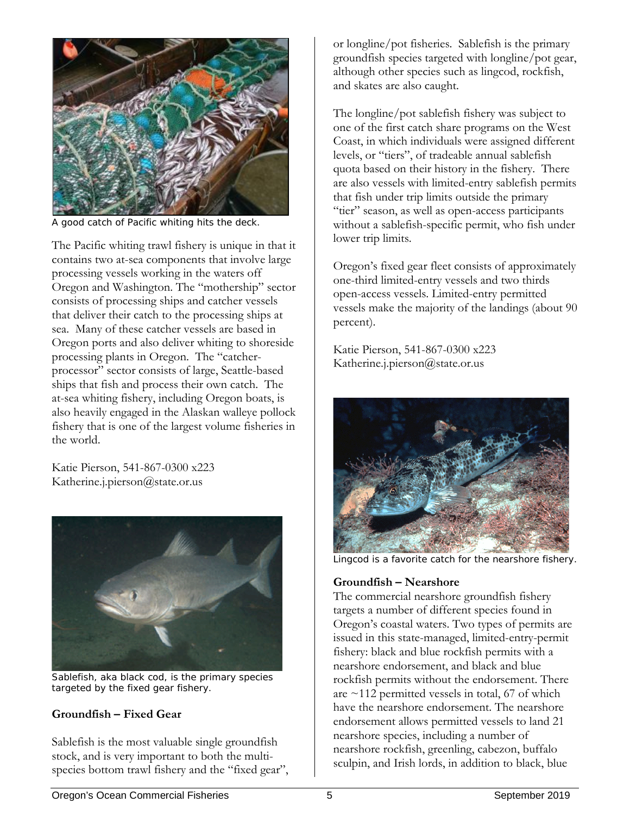

A good catch of Pacific whiting hits the deck.

The Pacific whiting trawl fishery is unique in that it contains two at-sea components that involve large processing vessels working in the waters off Oregon and Washington. The "mothership" sector consists of processing ships and catcher vessels that deliver their catch to the processing ships at sea. Many of these catcher vessels are based in Oregon ports and also deliver whiting to shoreside processing plants in Oregon. The "catcherprocessor" sector consists of large, Seattle-based ships that fish and process their own catch. The at-sea whiting fishery, including Oregon boats, is also heavily engaged in the Alaskan walleye pollock fishery that is one of the largest volume fisheries in the world.

Katie Pierson, 541-867-0300 x223 Katherine.j.pierson@state.or.us



Sablefish, aka black cod, is the primary species targeted by the fixed gear fishery.

# **Groundfish – Fixed Gear**

Sablefish is the most valuable single groundfish stock, and is very important to both the multispecies bottom trawl fishery and the "fixed gear", or longline/pot fisheries. Sablefish is the primary groundfish species targeted with longline/pot gear, although other species such as lingcod, rockfish, and skates are also caught.

The longline/pot sablefish fishery was subject to one of the first catch share programs on the West Coast, in which individuals were assigned different levels, or "tiers", of tradeable annual sablefish quota based on their history in the fishery. There are also vessels with limited-entry sablefish permits that fish under trip limits outside the primary "tier" season, as well as open-access participants without a sablefish-specific permit, who fish under lower trip limits.

Oregon's fixed gear fleet consists of approximately one-third limited-entry vessels and two thirds open-access vessels. Limited-entry permitted vessels make the majority of the landings (about 90 percent).

Katie Pierson, 541-867-0300 x223 Katherine.j.pierson@state.or.us



Lingcod is a favorite catch for the nearshore fishery.

### **Groundfish – Nearshore**

The commercial nearshore groundfish fishery targets a number of different species found in Oregon's coastal waters. Two types of permits are issued in this state-managed, limited-entry-permit fishery: black and blue rockfish permits with a nearshore endorsement, and black and blue rockfish permits without the endorsement. There are  $\sim$ 112 permitted vessels in total, 67 of which have the nearshore endorsement. The nearshore endorsement allows permitted vessels to land 21 nearshore species, including a number of nearshore rockfish, greenling, cabezon, buffalo sculpin, and Irish lords, in addition to black, blue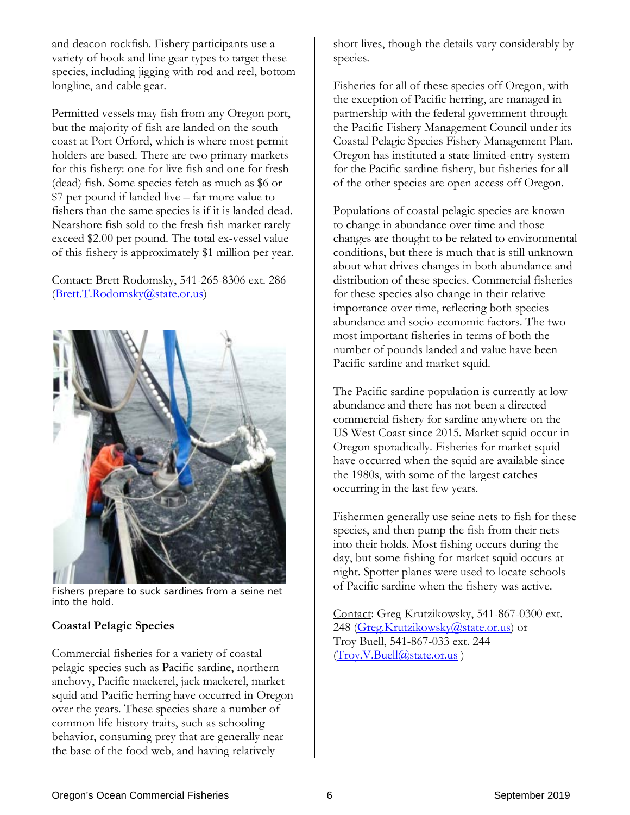and deacon rockfish. Fishery participants use a variety of hook and line gear types to target these species, including jigging with rod and reel, bottom longline, and cable gear.

Permitted vessels may fish from any Oregon port, but the majority of fish are landed on the south coast at Port Orford, which is where most permit holders are based. There are two primary markets for this fishery: one for live fish and one for fresh (dead) fish. Some species fetch as much as \$6 or \$7 per pound if landed live – far more value to fishers than the same species is if it is landed dead. Nearshore fish sold to the fresh fish market rarely exceed \$2.00 per pound. The total ex-vessel value of this fishery is approximately \$1 million per year.

Contact: Brett Rodomsky, 541-265-8306 ext. 286 [\(Brett.T.Rodomsky@state.or.us\)](mailto:Brett.T.Rodomsky@state.or.us)



Fishers prepare to suck sardines from a seine net into the hold.

# **Coastal Pelagic Species**

Commercial fisheries for a variety of coastal pelagic species such as Pacific sardine, northern anchovy, Pacific mackerel, jack mackerel, market squid and Pacific herring have occurred in Oregon over the years. These species share a number of common life history traits, such as schooling behavior, consuming prey that are generally near the base of the food web, and having relatively

short lives, though the details vary considerably by species.

Fisheries for all of these species off Oregon, with the exception of Pacific herring, are managed in partnership with the federal government through the Pacific Fishery Management Council under its Coastal Pelagic Species Fishery Management Plan. Oregon has instituted a state limited-entry system for the Pacific sardine fishery, but fisheries for all of the other species are open access off Oregon.

Populations of coastal pelagic species are known to change in abundance over time and those changes are thought to be related to environmental conditions, but there is much that is still unknown about what drives changes in both abundance and distribution of these species. Commercial fisheries for these species also change in their relative importance over time, reflecting both species abundance and socio-economic factors. The two most important fisheries in terms of both the number of pounds landed and value have been Pacific sardine and market squid.

The Pacific sardine population is currently at low abundance and there has not been a directed commercial fishery for sardine anywhere on the US West Coast since 2015. Market squid occur in Oregon sporadically. Fisheries for market squid have occurred when the squid are available since the 1980s, with some of the largest catches occurring in the last few years.

Fishermen generally use seine nets to fish for these species, and then pump the fish from their nets into their holds. Most fishing occurs during the day, but some fishing for market squid occurs at night. Spotter planes were used to locate schools of Pacific sardine when the fishery was active.

Contact: Greg Krutzikowsky, 541-867-0300 ext. 248 [\(Greg.Krutzikowsky@state.or.us\)](mailto:Greg.Krutzikowsky@state.or.us) or Troy Buell, 541-867-033 ext. 244 [\(Troy.V.Buell@state.or.us](mailto:Troy.V.Buell@state.or.us) )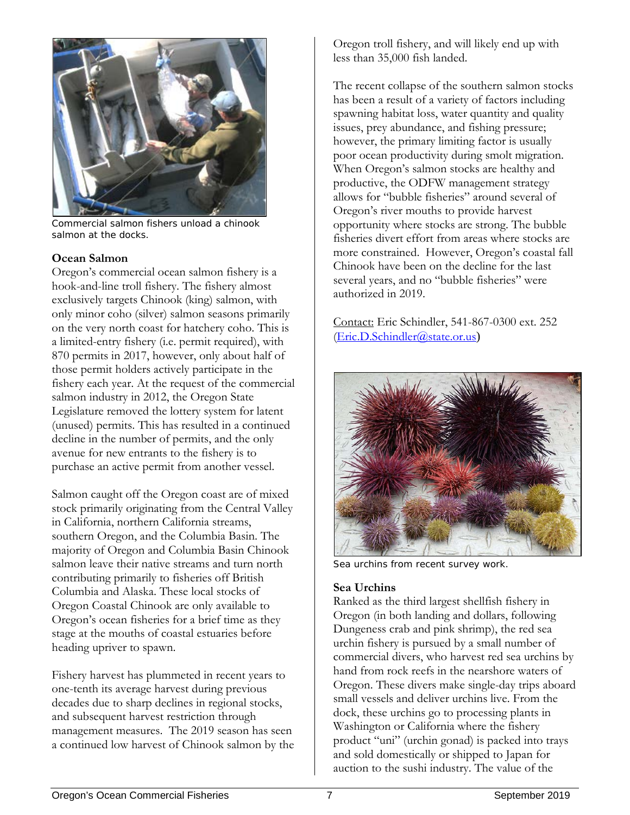

Commercial salmon fishers unload a chinook salmon at the docks.

#### **Ocean Salmon**

Oregon's commercial ocean salmon fishery is a hook-and-line troll fishery. The fishery almost exclusively targets Chinook (king) salmon, with only minor coho (silver) salmon seasons primarily on the very north coast for hatchery coho. This is a limited-entry fishery (i.e. permit required), with 870 permits in 2017, however, only about half of those permit holders actively participate in the fishery each year. At the request of the commercial salmon industry in 2012, the Oregon State Legislature removed the lottery system for latent (unused) permits. This has resulted in a continued decline in the number of permits, and the only avenue for new entrants to the fishery is to purchase an active permit from another vessel.

Salmon caught off the Oregon coast are of mixed stock primarily originating from the Central Valley in California, northern California streams, southern Oregon, and the Columbia Basin. The majority of Oregon and Columbia Basin Chinook salmon leave their native streams and turn north contributing primarily to fisheries off British Columbia and Alaska. These local stocks of Oregon Coastal Chinook are only available to Oregon's ocean fisheries for a brief time as they stage at the mouths of coastal estuaries before heading upriver to spawn.

Fishery harvest has plummeted in recent years to one-tenth its average harvest during previous decades due to sharp declines in regional stocks, and subsequent harvest restriction through management measures. The 2019 season has seen a continued low harvest of Chinook salmon by the Oregon troll fishery, and will likely end up with less than 35,000 fish landed.

The recent collapse of the southern salmon stocks has been a result of a variety of factors including spawning habitat loss, water quantity and quality issues, prey abundance, and fishing pressure; however, the primary limiting factor is usually poor ocean productivity during smolt migration. When Oregon's salmon stocks are healthy and productive, the ODFW management strategy allows for "bubble fisheries" around several of Oregon's river mouths to provide harvest opportunity where stocks are strong. The bubble fisheries divert effort from areas where stocks are more constrained. However, Oregon's coastal fall Chinook have been on the decline for the last several years, and no "bubble fisheries" were authorized in 2019.

Contact: Eric Schindler, 541-867-0300 ext. 252 [\(Eric.D.Schindler@state.or.us](mailto:Eric.D.Schindler@state.or.us))



Sea urchins from recent survey work.

# **Sea Urchins**

Ranked as the third largest shellfish fishery in Oregon (in both landing and dollars, following Dungeness crab and pink shrimp), the red sea urchin fishery is pursued by a small number of commercial divers, who harvest red sea urchins by hand from rock reefs in the nearshore waters of Oregon. These divers make single-day trips aboard small vessels and deliver urchins live. From the dock, these urchins go to processing plants in Washington or California where the fishery product "uni" (urchin gonad) is packed into trays and sold domestically or shipped to Japan for auction to the sushi industry. The value of the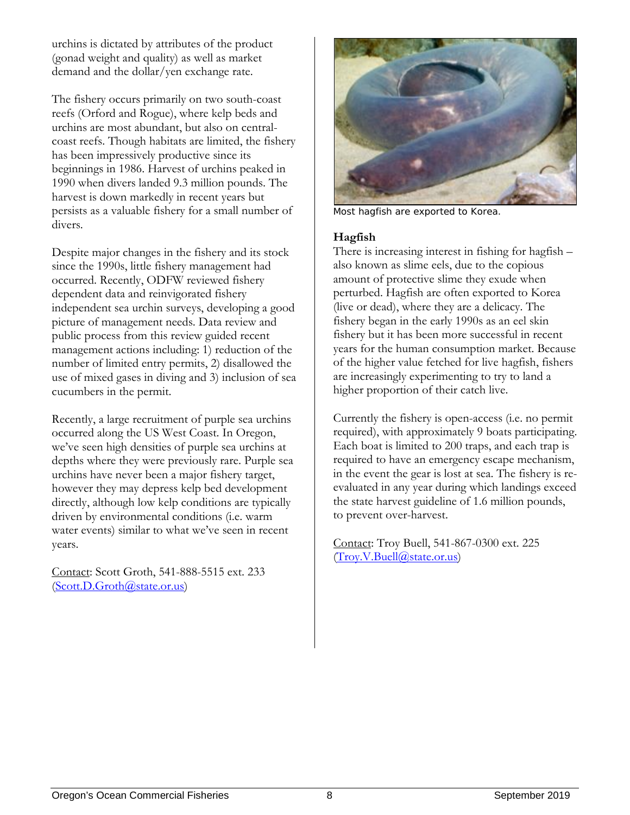urchins is dictated by attributes of the product (gonad weight and quality) as well as market demand and the dollar/yen exchange rate.

The fishery occurs primarily on two south-coast reefs (Orford and Rogue), where kelp beds and urchins are most abundant, but also on centralcoast reefs. Though habitats are limited, the fishery has been impressively productive since its beginnings in 1986. Harvest of urchins peaked in 1990 when divers landed 9.3 million pounds. The harvest is down markedly in recent years but persists as a valuable fishery for a small number of divers.

Despite major changes in the fishery and its stock since the 1990s, little fishery management had occurred. Recently, ODFW reviewed fishery dependent data and reinvigorated fishery independent sea urchin surveys, developing a good picture of management needs. Data review and public process from this review guided recent management actions including: 1) reduction of the number of limited entry permits, 2) disallowed the use of mixed gases in diving and 3) inclusion of sea cucumbers in the permit.

Recently, a large recruitment of purple sea urchins occurred along the US West Coast. In Oregon, we've seen high densities of purple sea urchins at depths where they were previously rare. Purple sea urchins have never been a major fishery target, however they may depress kelp bed development directly, although low kelp conditions are typically driven by environmental conditions (i.e. warm water events) similar to what we've seen in recent years.

Contact: Scott Groth, 541-888-5515 ext. 233 [\(Scott.D.Groth@state.or.us\)](mailto:Scott.D.Groth@state.or.us)



Most hagfish are exported to Korea.

#### **Hagfish**

There is increasing interest in fishing for hagfish – also known as slime eels, due to the copious amount of protective slime they exude when perturbed. Hagfish are often exported to Korea (live or dead), where they are a delicacy. The fishery began in the early 1990s as an eel skin fishery but it has been more successful in recent years for the human consumption market. Because of the higher value fetched for live hagfish, fishers are increasingly experimenting to try to land a higher proportion of their catch live.

Currently the fishery is open-access (i.e. no permit required), with approximately 9 boats participating. Each boat is limited to 200 traps, and each trap is required to have an emergency escape mechanism, in the event the gear is lost at sea. The fishery is reevaluated in any year during which landings exceed the state harvest guideline of 1.6 million pounds, to prevent over-harvest.

Contact: Troy Buell, 541-867-0300 ext. 225 [\(Troy.V.Buell@state.or.us\)](mailto:Troy.V.Buell@state.or.us)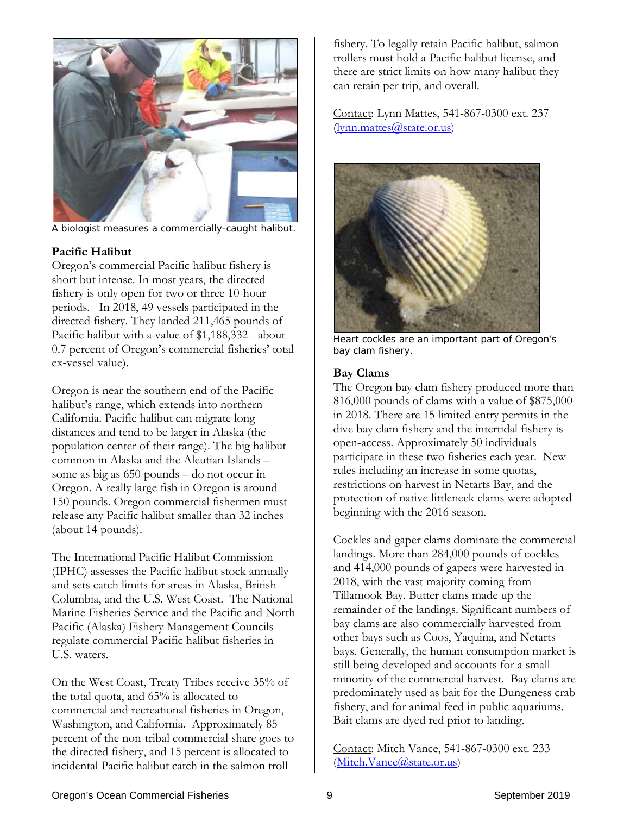

A biologist measures a commercially-caught halibut.

# **Pacific Halibut**

Oregon's commercial Pacific halibut fishery is short but intense. In most years, the directed fishery is only open for two or three 10-hour periods. In 2018, 49 vessels participated in the directed fishery. They landed 211,465 pounds of Pacific halibut with a value of \$1,188,332 - about 0.7 percent of Oregon's commercial fisheries' total ex-vessel value).

Oregon is near the southern end of the Pacific halibut's range, which extends into northern California. Pacific halibut can migrate long distances and tend to be larger in Alaska (the population center of their range). The big halibut common in Alaska and the Aleutian Islands – some as big as 650 pounds – do not occur in Oregon. A really large fish in Oregon is around 150 pounds. Oregon commercial fishermen must release any Pacific halibut smaller than 32 inches (about 14 pounds).

The International Pacific Halibut Commission (IPHC) assesses the Pacific halibut stock annually and sets catch limits for areas in Alaska, British Columbia, and the U.S. West Coast. The National Marine Fisheries Service and the Pacific and North Pacific (Alaska) Fishery Management Councils regulate commercial Pacific halibut fisheries in U.S. waters.

On the West Coast, Treaty Tribes receive 35% of the total quota, and 65% is allocated to commercial and recreational fisheries in Oregon, Washington, and California. Approximately 85 percent of the non-tribal commercial share goes to the directed fishery, and 15 percent is allocated to incidental Pacific halibut catch in the salmon troll

fishery. To legally retain Pacific halibut, salmon trollers must hold a Pacific halibut license, and there are strict limits on how many halibut they can retain per trip, and overall.

Contact: Lynn Mattes, 541-867-0300 ext. 237 [\(lynn.mattes@state.or.us\)](mailto:lynn.mattes@state.or.us)



Heart cockles are an important part of Oregon's bay clam fishery.

#### **Bay Clams**

The Oregon bay clam fishery produced more than 816,000 pounds of clams with a value of \$875,000 in 2018. There are 15 limited-entry permits in the dive bay clam fishery and the intertidal fishery is open-access. Approximately 50 individuals participate in these two fisheries each year. New rules including an increase in some quotas, restrictions on harvest in Netarts Bay, and the protection of native littleneck clams were adopted beginning with the 2016 season.

Cockles and gaper clams dominate the commercial landings. More than 284,000 pounds of cockles and 414,000 pounds of gapers were harvested in 2018, with the vast majority coming from Tillamook Bay. Butter clams made up the remainder of the landings. Significant numbers of bay clams are also commercially harvested from other bays such as Coos, Yaquina, and Netarts bays. Generally, the human consumption market is still being developed and accounts for a small minority of the commercial harvest. Bay clams are predominately used as bait for the Dungeness crab fishery, and for animal feed in public aquariums. Bait clams are dyed red prior to landing.

Contact: Mitch Vance, 541-867-0300 ext. 233 [\(Mitch.Vance@state.or.us\)](mailto:Mitch.Vance@state.or.us)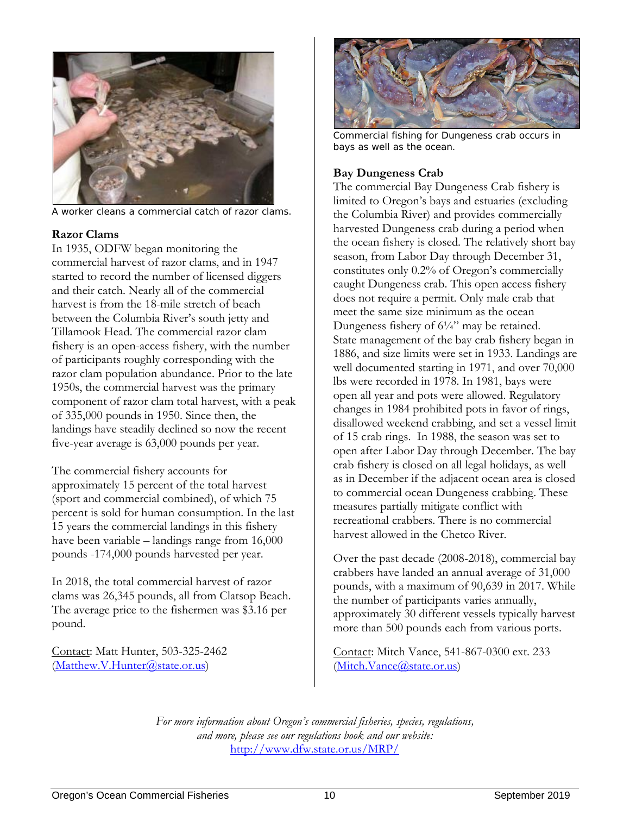

A worker cleans a commercial catch of razor clams.

### **Razor Clams**

In 1935, ODFW began monitoring the commercial harvest of razor clams, and in 1947 started to record the number of licensed diggers and their catch. Nearly all of the commercial harvest is from the 18-mile stretch of beach between the Columbia River's south jetty and Tillamook Head. The commercial razor clam fishery is an open-access fishery, with the number of participants roughly corresponding with the razor clam population abundance. Prior to the late 1950s, the commercial harvest was the primary component of razor clam total harvest, with a peak of 335,000 pounds in 1950. Since then, the landings have steadily declined so now the recent five-year average is 63,000 pounds per year.

The commercial fishery accounts for approximately 15 percent of the total harvest (sport and commercial combined), of which 75 percent is sold for human consumption. In the last 15 years the commercial landings in this fishery have been variable – landings range from 16,000 pounds -174,000 pounds harvested per year.

In 2018, the total commercial harvest of razor clams was 26,345 pounds, all from Clatsop Beach. The average price to the fishermen was \$3.16 per pound.

Contact: Matt Hunter, 503-325-2462 [\(Matthew.V.Hunter@state.or.us\)](mailto:Matthew.V.Hunter@state.or.us)



Commercial fishing for Dungeness crab occurs in bays as well as the ocean.

# **Bay Dungeness Crab**

The commercial Bay Dungeness Crab fishery is limited to Oregon's bays and estuaries (excluding the Columbia River) and provides commercially harvested Dungeness crab during a period when the ocean fishery is closed. The relatively short bay season, from Labor Day through December 31, constitutes only 0.2% of Oregon's commercially caught Dungeness crab. This open access fishery does not require a permit. Only male crab that meet the same size minimum as the ocean Dungeness fishery of  $6\frac{1}{4}$ " may be retained. State management of the bay crab fishery began in 1886, and size limits were set in 1933. Landings are well documented starting in 1971, and over 70,000 lbs were recorded in 1978. In 1981, bays were open all year and pots were allowed. Regulatory changes in 1984 prohibited pots in favor of rings, disallowed weekend crabbing, and set a vessel limit of 15 crab rings. In 1988, the season was set to open after Labor Day through December. The bay crab fishery is closed on all legal holidays, as well as in December if the adjacent ocean area is closed to commercial ocean Dungeness crabbing. These measures partially mitigate conflict with recreational crabbers. There is no commercial harvest allowed in the Chetco River.

Over the past decade (2008-2018), commercial bay crabbers have landed an annual average of 31,000 pounds, with a maximum of 90,639 in 2017. While the number of participants varies annually, approximately 30 different vessels typically harvest more than 500 pounds each from various ports.

Contact: Mitch Vance, 541-867-0300 ext. 233 [\(Mitch.Vance@state.or.us\)](mailto:Mitch.Vance@state.or.us)

*For more information about Oregon's commercial fisheries, species, regulations, and more, please see our regulations book and our website:* <http://www.dfw.state.or.us/MRP/>